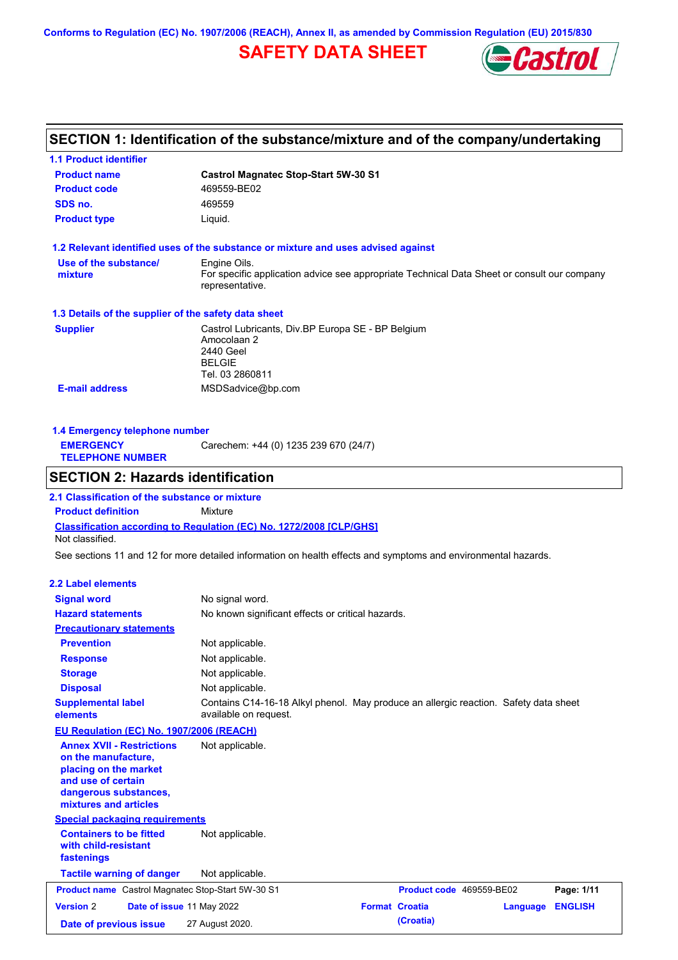**Conforms to Regulation (EC) No. 1907/2006 (REACH), Annex II, as amended by Commission Regulation (EU) 2015/830**

# **SAFETY DATA SHEET**



# **SECTION 1: Identification of the substance/mixture and of the company/undertaking**

**1.1 Product identifier**

| <b>Product name</b>                                                                                                                                      | <b>Castrol Magnatec Stop-Start 5W-30 S1</b>                                                                                    |                          |                 |                |
|----------------------------------------------------------------------------------------------------------------------------------------------------------|--------------------------------------------------------------------------------------------------------------------------------|--------------------------|-----------------|----------------|
| <b>Product code</b>                                                                                                                                      | 469559-BE02                                                                                                                    |                          |                 |                |
| SDS no.                                                                                                                                                  | 469559                                                                                                                         |                          |                 |                |
| <b>Product type</b>                                                                                                                                      | Liquid.                                                                                                                        |                          |                 |                |
|                                                                                                                                                          | 1.2 Relevant identified uses of the substance or mixture and uses advised against                                              |                          |                 |                |
| Use of the substance/<br>mixture                                                                                                                         | Engine Oils.<br>For specific application advice see appropriate Technical Data Sheet or consult our company<br>representative. |                          |                 |                |
| 1.3 Details of the supplier of the safety data sheet                                                                                                     |                                                                                                                                |                          |                 |                |
| <b>Supplier</b>                                                                                                                                          | Castrol Lubricants, Div.BP Europa SE - BP Belgium<br>Amocolaan 2<br>2440 Geel<br><b>BELGIE</b><br>Tel. 03 2860811              |                          |                 |                |
| <b>E-mail address</b>                                                                                                                                    | MSDSadvice@bp.com                                                                                                              |                          |                 |                |
|                                                                                                                                                          |                                                                                                                                |                          |                 |                |
| 1.4 Emergency telephone number<br><b>EMERGENCY</b>                                                                                                       |                                                                                                                                |                          |                 |                |
| <b>TELEPHONE NUMBER</b>                                                                                                                                  | Carechem: +44 (0) 1235 239 670 (24/7)                                                                                          |                          |                 |                |
| <b>SECTION 2: Hazards identification</b>                                                                                                                 |                                                                                                                                |                          |                 |                |
| 2.1 Classification of the substance or mixture                                                                                                           |                                                                                                                                |                          |                 |                |
| <b>Product definition</b>                                                                                                                                | <b>Mixture</b>                                                                                                                 |                          |                 |                |
| Not classified.                                                                                                                                          | <b>Classification according to Regulation (EC) No. 1272/2008 [CLP/GHS]</b>                                                     |                          |                 |                |
|                                                                                                                                                          |                                                                                                                                |                          |                 |                |
|                                                                                                                                                          | See sections 11 and 12 for more detailed information on health effects and symptoms and environmental hazards.                 |                          |                 |                |
| <b>2.2 Label elements</b>                                                                                                                                |                                                                                                                                |                          |                 |                |
| <b>Signal word</b>                                                                                                                                       | No signal word.                                                                                                                |                          |                 |                |
| <b>Hazard statements</b>                                                                                                                                 | No known significant effects or critical hazards.                                                                              |                          |                 |                |
| <b>Precautionary statements</b>                                                                                                                          |                                                                                                                                |                          |                 |                |
| <b>Prevention</b>                                                                                                                                        | Not applicable.                                                                                                                |                          |                 |                |
| <b>Response</b>                                                                                                                                          | Not applicable.                                                                                                                |                          |                 |                |
| <b>Storage</b>                                                                                                                                           | Not applicable.                                                                                                                |                          |                 |                |
| <b>Disposal</b>                                                                                                                                          | Not applicable.                                                                                                                |                          |                 |                |
| <b>Supplemental label</b><br>elements                                                                                                                    | Contains C14-16-18 Alkyl phenol. May produce an allergic reaction. Safety data sheet<br>available on request.                  |                          |                 |                |
| EU Regulation (EC) No. 1907/2006 (REACH)                                                                                                                 |                                                                                                                                |                          |                 |                |
| <b>Annex XVII - Restrictions</b><br>on the manufacture.<br>placing on the market<br>and use of certain<br>dangerous substances,<br>mixtures and articles | Not applicable.                                                                                                                |                          |                 |                |
| <b>Special packaging requirements</b>                                                                                                                    |                                                                                                                                |                          |                 |                |
| <b>Containers to be fitted</b><br>with child-resistant<br>fastenings                                                                                     | Not applicable.                                                                                                                |                          |                 |                |
| <b>Tactile warning of danger</b>                                                                                                                         | Not applicable.                                                                                                                |                          |                 |                |
| Product name Castrol Magnatec Stop-Start 5W-30 S1                                                                                                        |                                                                                                                                | Product code 469559-BE02 |                 | Page: 1/11     |
| <b>Version 2</b><br>Date of issue 11 May 2022                                                                                                            |                                                                                                                                | <b>Format Croatia</b>    | <b>Language</b> | <b>ENGLISH</b> |
| Date of previous issue                                                                                                                                   | 27 August 2020.                                                                                                                | (Croatia)                |                 |                |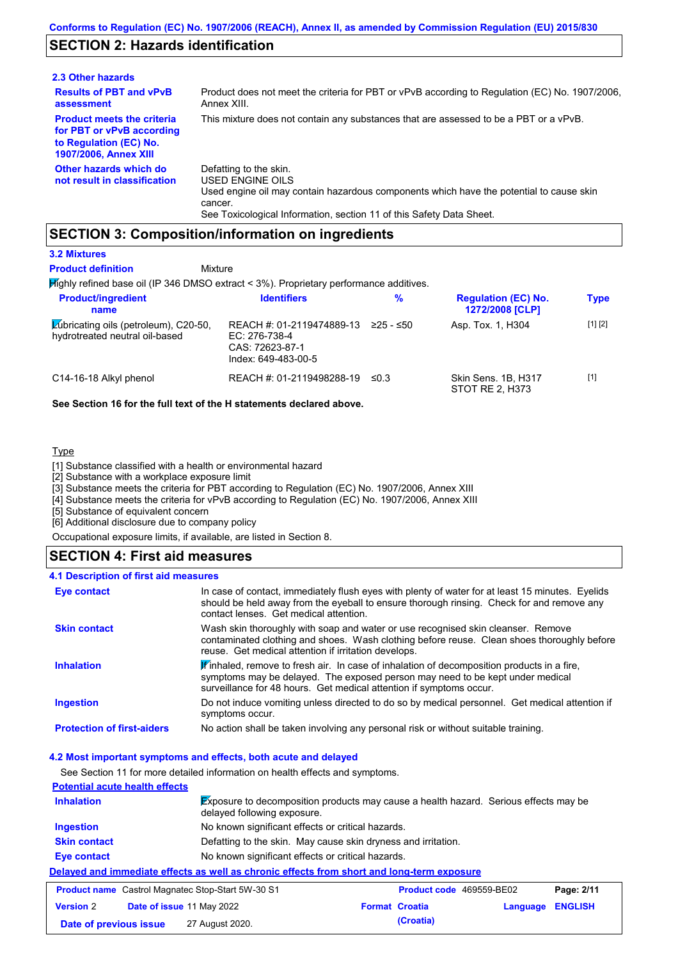# **SECTION 2: Hazards identification**

| 2.3 Other hazards                                                                                                        |                                                                                                                                                                                                                          |
|--------------------------------------------------------------------------------------------------------------------------|--------------------------------------------------------------------------------------------------------------------------------------------------------------------------------------------------------------------------|
| <b>Results of PBT and vPvB</b><br>assessment                                                                             | Product does not meet the criteria for PBT or vPvB according to Regulation (EC) No. 1907/2006,<br>Annex XIII.                                                                                                            |
| <b>Product meets the criteria</b><br>for PBT or vPvB according<br>to Regulation (EC) No.<br><b>1907/2006, Annex XIII</b> | This mixture does not contain any substances that are assessed to be a PBT or a vPvB.                                                                                                                                    |
| Other hazards which do<br>not result in classification                                                                   | Defatting to the skin.<br>USED ENGINE OILS<br>Used engine oil may contain hazardous components which have the potential to cause skin<br>cancer.<br>See Toxicological Information, section 11 of this Safety Data Sheet. |

### **SECTION 3: Composition/information on ingredients**

Mixture

### **3.2 Mixtures**

**Product definition**

Highly refined base oil (IP 346 DMSO extract < 3%). Proprietary performance additives.

| <b>Product/ingredient</b><br>name                                              | <b>Identifiers</b>                                                                   | $\frac{9}{6}$ | <b>Regulation (EC) No.</b><br>1272/2008 [CLP] | <b>Type</b> |
|--------------------------------------------------------------------------------|--------------------------------------------------------------------------------------|---------------|-----------------------------------------------|-------------|
| <b>Zubricating oils (petroleum), C20-50,</b><br>hydrotreated neutral oil-based | REACH #: 01-2119474889-13<br>EC: 276-738-4<br>CAS: 72623-87-1<br>Index: 649-483-00-5 | 225 - ≤50     | Asp. Tox. 1, H304                             | [1] [2]     |
| C14-16-18 Alkyl phenol                                                         | REACH #: 01-2119498288-19                                                            | ≤0.3          | Skin Sens, 1B, H317<br>STOT RE 2. H373        | $[1]$       |

### **See Section 16 for the full text of the H statements declared above.**

### **Type**

 $\mathbf{r}$ 

[1] Substance classified with a health or environmental hazard

[2] Substance with a workplace exposure limit

[3] Substance meets the criteria for PBT according to Regulation (EC) No. 1907/2006, Annex XIII

[4] Substance meets the criteria for vPvB according to Regulation (EC) No. 1907/2006, Annex XIII

[5] Substance of equivalent concern

[6] Additional disclosure due to company policy

Occupational exposure limits, if available, are listed in Section 8.

# **SECTION 4: First aid measures**

| 4.1 Description of first aid measures |                                                                                                                                                                                                                                                               |
|---------------------------------------|---------------------------------------------------------------------------------------------------------------------------------------------------------------------------------------------------------------------------------------------------------------|
| Eye contact                           | In case of contact, immediately flush eyes with plenty of water for at least 15 minutes. Eyelids<br>should be held away from the eyeball to ensure thorough rinsing. Check for and remove any<br>contact lenses. Get medical attention.                       |
| <b>Skin contact</b>                   | Wash skin thoroughly with soap and water or use recognised skin cleanser. Remove<br>contaminated clothing and shoes. Wash clothing before reuse. Clean shoes thoroughly before<br>reuse. Get medical attention if irritation develops.                        |
| <b>Inhalation</b>                     | $\mathbf{F}$ inhaled, remove to fresh air. In case of inhalation of decomposition products in a fire,<br>symptoms may be delayed. The exposed person may need to be kept under medical<br>surveillance for 48 hours. Get medical attention if symptoms occur. |
| <b>Ingestion</b>                      | Do not induce vomiting unless directed to do so by medical personnel. Get medical attention if<br>symptoms occur.                                                                                                                                             |
| <b>Protection of first-aiders</b>     | No action shall be taken involving any personal risk or without suitable training.                                                                                                                                                                            |

### **4.2 Most important symptoms and effects, both acute and delayed**

See Section 11 for more detailed information on health effects and symptoms.

| <b>Potential acute health effects</b>                                                      |                                                   |                                                                                      |                                 |            |
|--------------------------------------------------------------------------------------------|---------------------------------------------------|--------------------------------------------------------------------------------------|---------------------------------|------------|
| <b>Inhalation</b>                                                                          | delayed following exposure.                       | Exposure to decomposition products may cause a health hazard. Serious effects may be |                                 |            |
| <b>Ingestion</b>                                                                           | No known significant effects or critical hazards. |                                                                                      |                                 |            |
| <b>Skin contact</b>                                                                        |                                                   | Defatting to the skin. May cause skin dryness and irritation.                        |                                 |            |
| <b>Eye contact</b>                                                                         | No known significant effects or critical hazards. |                                                                                      |                                 |            |
| Delayed and immediate effects as well as chronic effects from short and long-term exposure |                                                   |                                                                                      |                                 |            |
| <b>Product name</b> Castrol Magnatec Stop-Start 5W-30 S1                                   |                                                   |                                                                                      | <b>Product code</b> 469559-BE02 | Page: 2/11 |

| <b>Product name</b> Castrol Magnatec Stop-Start 5W-30 S1 |  | <b>Product code</b> 469559-BE02  |  | Page: 2/11            |                  |  |
|----------------------------------------------------------|--|----------------------------------|--|-----------------------|------------------|--|
| <b>Version 2</b>                                         |  | <b>Date of issue 11 May 2022</b> |  | <b>Format Croatia</b> | Language ENGLISH |  |
| Date of previous issue                                   |  | 27 August 2020.                  |  | (Croatia)             |                  |  |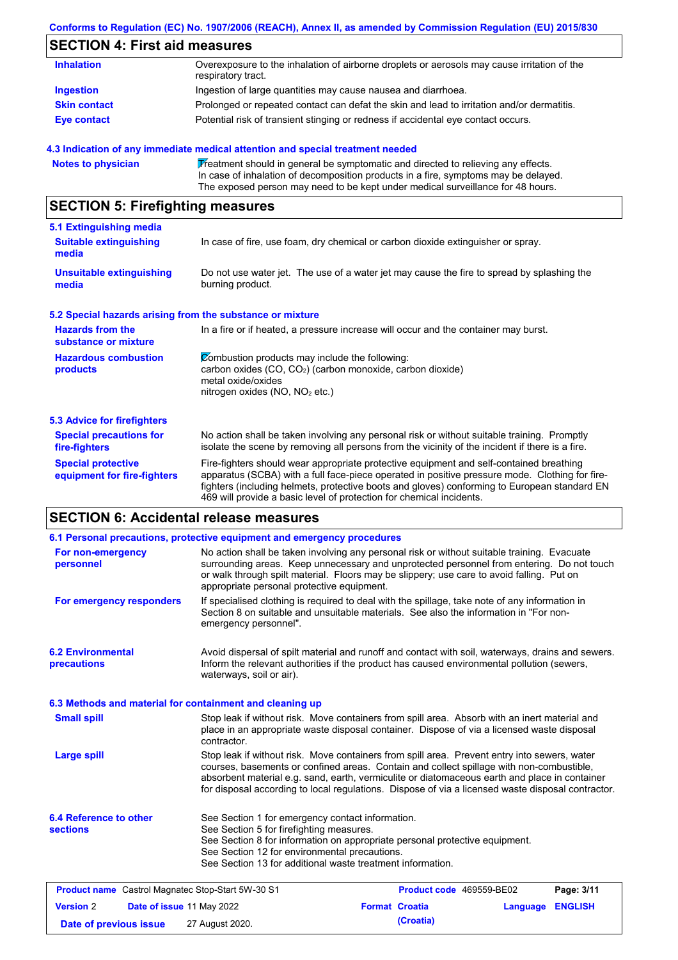### **Conforms to Regulation (EC) No. 1907/2006 (REACH), Annex II, as amended by Commission Regulation (EU) 2015/830**

# **SECTION 4: First aid measures**

| <b>Inhalation</b>   | Overexposure to the inhalation of airborne droplets or aerosols may cause irritation of the<br>respiratory tract. |
|---------------------|-------------------------------------------------------------------------------------------------------------------|
| <b>Ingestion</b>    | Ingestion of large quantities may cause nausea and diarrhoea.                                                     |
| <b>Skin contact</b> | Prolonged or repeated contact can defat the skin and lead to irritation and/or dermatitis.                        |
| <b>Eye contact</b>  | Potential risk of transient stinging or redness if accidental eye contact occurs.                                 |

### **4.3 Indication of any immediate medical attention and special treatment needed**

```
Notes to physician Treatment should in general be symptomatic and directed to relieving any effects.
                   In case of inhalation of decomposition products in a fire, symptoms may be delayed.
                   The exposed person may need to be kept under medical surveillance for 48 hours.
```
# **SECTION 5: Firefighting measures**

| 5.1 Extinguishing media                                   |                                                                                                                                                                                                                                                                                                                                                                   |  |
|-----------------------------------------------------------|-------------------------------------------------------------------------------------------------------------------------------------------------------------------------------------------------------------------------------------------------------------------------------------------------------------------------------------------------------------------|--|
| <b>Suitable extinguishing</b><br>media                    | In case of fire, use foam, dry chemical or carbon dioxide extinguisher or spray.                                                                                                                                                                                                                                                                                  |  |
| <b>Unsuitable extinguishing</b><br>media                  | Do not use water jet. The use of a water jet may cause the fire to spread by splashing the<br>burning product.                                                                                                                                                                                                                                                    |  |
| 5.2 Special hazards arising from the substance or mixture |                                                                                                                                                                                                                                                                                                                                                                   |  |
| <b>Hazards from the</b><br>substance or mixture           | In a fire or if heated, a pressure increase will occur and the container may burst.                                                                                                                                                                                                                                                                               |  |
| <b>Hazardous combustion</b><br>products                   | Combustion products may include the following:<br>carbon oxides (CO, CO <sub>2</sub> ) (carbon monoxide, carbon dioxide)<br>metal oxide/oxides<br>nitrogen oxides ( $NO$ , $NO2$ etc.)                                                                                                                                                                            |  |
| 5.3 Advice for firefighters                               |                                                                                                                                                                                                                                                                                                                                                                   |  |
| <b>Special precautions for</b><br>fire-fighters           | No action shall be taken involving any personal risk or without suitable training. Promptly<br>isolate the scene by removing all persons from the vicinity of the incident if there is a fire.                                                                                                                                                                    |  |
| <b>Special protective</b><br>equipment for fire-fighters  | Fire-fighters should wear appropriate protective equipment and self-contained breathing<br>apparatus (SCBA) with a full face-piece operated in positive pressure mode. Clothing for fire-<br>fighters (including helmets, protective boots and gloves) conforming to European standard EN<br>469 will provide a basic level of protection for chemical incidents. |  |

# **SECTION 6: Accidental release measures**

|                                                          | 6.1 Personal precautions, protective equipment and emergency procedures                                                                                                                                                                                                                                                                                                                        |                       |                          |                |
|----------------------------------------------------------|------------------------------------------------------------------------------------------------------------------------------------------------------------------------------------------------------------------------------------------------------------------------------------------------------------------------------------------------------------------------------------------------|-----------------------|--------------------------|----------------|
| For non-emergency<br>personnel                           | No action shall be taken involving any personal risk or without suitable training. Evacuate<br>surrounding areas. Keep unnecessary and unprotected personnel from entering. Do not touch<br>or walk through spilt material. Floors may be slippery; use care to avoid falling. Put on<br>appropriate personal protective equipment.                                                            |                       |                          |                |
| For emergency responders                                 | If specialised clothing is required to deal with the spillage, take note of any information in<br>Section 8 on suitable and unsuitable materials. See also the information in "For non-<br>emergency personnel".                                                                                                                                                                               |                       |                          |                |
| <b>6.2 Environmental</b><br>precautions                  | Avoid dispersal of spilt material and runoff and contact with soil, waterways, drains and sewers.<br>Inform the relevant authorities if the product has caused environmental pollution (sewers,<br>waterways, soil or air).                                                                                                                                                                    |                       |                          |                |
| 6.3 Methods and material for containment and cleaning up |                                                                                                                                                                                                                                                                                                                                                                                                |                       |                          |                |
| <b>Small spill</b>                                       | Stop leak if without risk. Move containers from spill area. Absorb with an inert material and<br>place in an appropriate waste disposal container. Dispose of via a licensed waste disposal<br>contractor.                                                                                                                                                                                     |                       |                          |                |
| <b>Large spill</b>                                       | Stop leak if without risk. Move containers from spill area. Prevent entry into sewers, water<br>courses, basements or confined areas. Contain and collect spillage with non-combustible,<br>absorbent material e.g. sand, earth, vermiculite or diatomaceous earth and place in container<br>for disposal according to local regulations. Dispose of via a licensed waste disposal contractor. |                       |                          |                |
| 6.4 Reference to other<br><b>sections</b>                | See Section 1 for emergency contact information.<br>See Section 5 for firefighting measures.<br>See Section 8 for information on appropriate personal protective equipment.<br>See Section 12 for environmental precautions.<br>See Section 13 for additional waste treatment information.                                                                                                     |                       |                          |                |
| <b>Product name</b> Castrol Magnatec Stop-Start 5W-30 S1 |                                                                                                                                                                                                                                                                                                                                                                                                |                       | Product code 469559-BE02 | Page: 3/11     |
| <b>Version 2</b><br>Date of issue 11 May 2022            |                                                                                                                                                                                                                                                                                                                                                                                                | <b>Format Croatia</b> | Language                 | <b>ENGLISH</b> |
| Date of previous issue                                   | 27 August 2020.                                                                                                                                                                                                                                                                                                                                                                                | (Croatia)             |                          |                |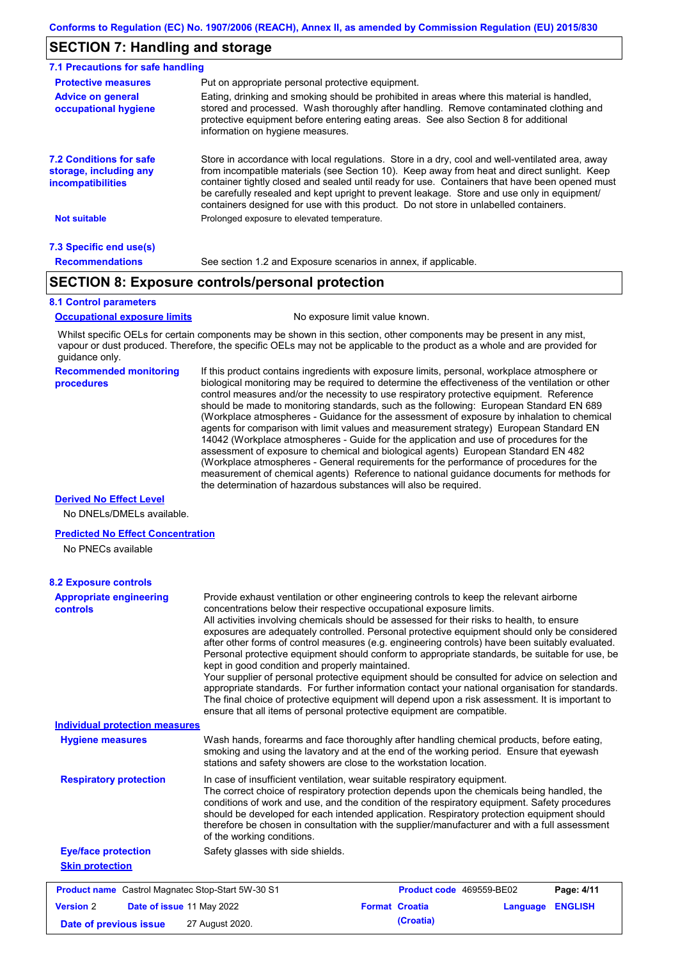### **SECTION 7: Handling and storage**

| 7.1 Precautions for safe handling                                                    |                                                                                                                                                                                                                                                                                                                                                                                                                                                                                          |
|--------------------------------------------------------------------------------------|------------------------------------------------------------------------------------------------------------------------------------------------------------------------------------------------------------------------------------------------------------------------------------------------------------------------------------------------------------------------------------------------------------------------------------------------------------------------------------------|
| <b>Protective measures</b>                                                           | Put on appropriate personal protective equipment.                                                                                                                                                                                                                                                                                                                                                                                                                                        |
| <b>Advice on general</b><br>occupational hygiene                                     | Eating, drinking and smoking should be prohibited in areas where this material is handled,<br>stored and processed. Wash thoroughly after handling. Remove contaminated clothing and<br>protective equipment before entering eating areas. See also Section 8 for additional<br>information on hygiene measures.                                                                                                                                                                         |
| <b>7.2 Conditions for safe</b><br>storage, including any<br><i>incompatibilities</i> | Store in accordance with local requlations. Store in a dry, cool and well-ventilated area, away<br>from incompatible materials (see Section 10). Keep away from heat and direct sunlight. Keep<br>container tightly closed and sealed until ready for use. Containers that have been opened must<br>be carefully resealed and kept upright to prevent leakage. Store and use only in equipment/<br>containers designed for use with this product. Do not store in unlabelled containers. |
| <b>Not suitable</b>                                                                  | Prolonged exposure to elevated temperature.                                                                                                                                                                                                                                                                                                                                                                                                                                              |
| 7.3 Specific end use(s)                                                              |                                                                                                                                                                                                                                                                                                                                                                                                                                                                                          |
| <b>Recommendations</b>                                                               | See section 1.2 and Exposure scenarios in annex, if applicable.                                                                                                                                                                                                                                                                                                                                                                                                                          |

### **SECTION 8: Exposure controls/personal protection**

### **8.1 Control parameters**

**Occupational exposure limits** No exposure limit value known.

Whilst specific OELs for certain components may be shown in this section, other components may be present in any mist, vapour or dust produced. Therefore, the specific OELs may not be applicable to the product as a whole and are provided for guidance only.

#### **Recommended monitoring procedures**

If this product contains ingredients with exposure limits, personal, workplace atmosphere or biological monitoring may be required to determine the effectiveness of the ventilation or other control measures and/or the necessity to use respiratory protective equipment. Reference should be made to monitoring standards, such as the following: European Standard EN 689 (Workplace atmospheres - Guidance for the assessment of exposure by inhalation to chemical agents for comparison with limit values and measurement strategy) European Standard EN 14042 (Workplace atmospheres - Guide for the application and use of procedures for the assessment of exposure to chemical and biological agents) European Standard EN 482 (Workplace atmospheres - General requirements for the performance of procedures for the measurement of chemical agents) Reference to national guidance documents for methods for the determination of hazardous substances will also be required.

### **Derived No Effect Level**

No DNELs/DMELs available.

### **Predicted No Effect Concentration**

No PNECs available

| <b>8.2 Exposure controls</b>                             |                                                                                                                                                                                                                                                                                                                                                                                                                                                                                                                                                                                                                                                                                                                                                                                                                                                                                                                                                                                                         |                                   |                |
|----------------------------------------------------------|---------------------------------------------------------------------------------------------------------------------------------------------------------------------------------------------------------------------------------------------------------------------------------------------------------------------------------------------------------------------------------------------------------------------------------------------------------------------------------------------------------------------------------------------------------------------------------------------------------------------------------------------------------------------------------------------------------------------------------------------------------------------------------------------------------------------------------------------------------------------------------------------------------------------------------------------------------------------------------------------------------|-----------------------------------|----------------|
| <b>Appropriate engineering</b><br>controls               | Provide exhaust ventilation or other engineering controls to keep the relevant airborne<br>concentrations below their respective occupational exposure limits.<br>All activities involving chemicals should be assessed for their risks to health, to ensure<br>exposures are adequately controlled. Personal protective equipment should only be considered<br>after other forms of control measures (e.g. engineering controls) have been suitably evaluated.<br>Personal protective equipment should conform to appropriate standards, be suitable for use, be<br>kept in good condition and properly maintained.<br>Your supplier of personal protective equipment should be consulted for advice on selection and<br>appropriate standards. For further information contact your national organisation for standards.<br>The final choice of protective equipment will depend upon a risk assessment. It is important to<br>ensure that all items of personal protective equipment are compatible. |                                   |                |
| <b>Individual protection measures</b>                    |                                                                                                                                                                                                                                                                                                                                                                                                                                                                                                                                                                                                                                                                                                                                                                                                                                                                                                                                                                                                         |                                   |                |
| <b>Hygiene measures</b>                                  | Wash hands, forearms and face thoroughly after handling chemical products, before eating,<br>smoking and using the lavatory and at the end of the working period. Ensure that eyewash<br>stations and safety showers are close to the workstation location.                                                                                                                                                                                                                                                                                                                                                                                                                                                                                                                                                                                                                                                                                                                                             |                                   |                |
| <b>Respiratory protection</b>                            | In case of insufficient ventilation, wear suitable respiratory equipment.<br>The correct choice of respiratory protection depends upon the chemicals being handled, the<br>conditions of work and use, and the condition of the respiratory equipment. Safety procedures<br>should be developed for each intended application. Respiratory protection equipment should<br>therefore be chosen in consultation with the supplier/manufacturer and with a full assessment<br>of the working conditions.                                                                                                                                                                                                                                                                                                                                                                                                                                                                                                   |                                   |                |
| <b>Eye/face protection</b>                               | Safety glasses with side shields.                                                                                                                                                                                                                                                                                                                                                                                                                                                                                                                                                                                                                                                                                                                                                                                                                                                                                                                                                                       |                                   |                |
| <b>Skin protection</b>                                   |                                                                                                                                                                                                                                                                                                                                                                                                                                                                                                                                                                                                                                                                                                                                                                                                                                                                                                                                                                                                         |                                   |                |
| <b>Product name</b> Castrol Magnatec Stop-Start 5W-30 S1 |                                                                                                                                                                                                                                                                                                                                                                                                                                                                                                                                                                                                                                                                                                                                                                                                                                                                                                                                                                                                         | Product code 469559-BE02          | Page: 4/11     |
| <b>Version 2</b><br>Date of issue 11 May 2022            |                                                                                                                                                                                                                                                                                                                                                                                                                                                                                                                                                                                                                                                                                                                                                                                                                                                                                                                                                                                                         | <b>Format Croatia</b><br>Language | <b>ENGLISH</b> |
| Date of previous issue                                   | 27 August 2020.                                                                                                                                                                                                                                                                                                                                                                                                                                                                                                                                                                                                                                                                                                                                                                                                                                                                                                                                                                                         | (Croatia)                         |                |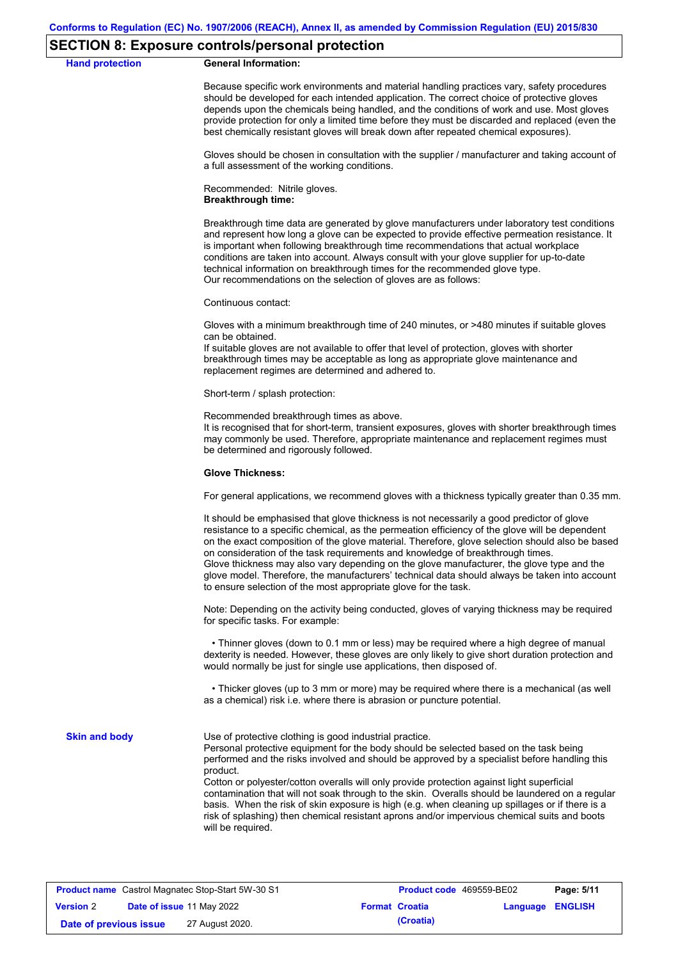### **SECTION 8: Exposure controls/personal protection**

**Hand protection** 

Because specific work environments and material handling practices vary, safety procedures should be developed for each intended application. The correct choice of protective gloves depends upon the chemicals being handled, and the conditions of work and use. Most gloves provide protection for only a limited time before they must be discarded and replaced (even the best chemically resistant gloves will break down after repeated chemical exposures).

Gloves should be chosen in consultation with the supplier / manufacturer and taking account of a full assessment of the working conditions.

Recommended: Nitrile gloves. **Breakthrough time:**

Breakthrough time data are generated by glove manufacturers under laboratory test conditions and represent how long a glove can be expected to provide effective permeation resistance. It is important when following breakthrough time recommendations that actual workplace conditions are taken into account. Always consult with your glove supplier for up-to-date technical information on breakthrough times for the recommended glove type. Our recommendations on the selection of gloves are as follows:

Continuous contact:

Gloves with a minimum breakthrough time of 240 minutes, or >480 minutes if suitable gloves can be obtained.

If suitable gloves are not available to offer that level of protection, gloves with shorter breakthrough times may be acceptable as long as appropriate glove maintenance and replacement regimes are determined and adhered to.

Short-term / splash protection:

Recommended breakthrough times as above.

It is recognised that for short-term, transient exposures, gloves with shorter breakthrough times may commonly be used. Therefore, appropriate maintenance and replacement regimes must be determined and rigorously followed.

#### **Glove Thickness:**

For general applications, we recommend gloves with a thickness typically greater than 0.35 mm.

It should be emphasised that glove thickness is not necessarily a good predictor of glove resistance to a specific chemical, as the permeation efficiency of the glove will be dependent on the exact composition of the glove material. Therefore, glove selection should also be based on consideration of the task requirements and knowledge of breakthrough times. Glove thickness may also vary depending on the glove manufacturer, the glove type and the glove model. Therefore, the manufacturers' technical data should always be taken into account to ensure selection of the most appropriate glove for the task.

Note: Depending on the activity being conducted, gloves of varying thickness may be required for specific tasks. For example:

 • Thinner gloves (down to 0.1 mm or less) may be required where a high degree of manual dexterity is needed. However, these gloves are only likely to give short duration protection and would normally be just for single use applications, then disposed of.

 • Thicker gloves (up to 3 mm or more) may be required where there is a mechanical (as well as a chemical) risk i.e. where there is abrasion or puncture potential.

**Skin and body**

Use of protective clothing is good industrial practice.

Personal protective equipment for the body should be selected based on the task being performed and the risks involved and should be approved by a specialist before handling this product.

Cotton or polyester/cotton overalls will only provide protection against light superficial contamination that will not soak through to the skin. Overalls should be laundered on a regular basis. When the risk of skin exposure is high (e.g. when cleaning up spillages or if there is a risk of splashing) then chemical resistant aprons and/or impervious chemical suits and boots will be required.

| <b>Product name</b> Castrol Magnatec Stop-Start 5W-30 S1 |  |                                  | <b>Product code</b> 469559-BE02 | Page: 5/11            |                         |  |
|----------------------------------------------------------|--|----------------------------------|---------------------------------|-----------------------|-------------------------|--|
| <b>Version 2</b>                                         |  | <b>Date of issue 11 May 2022</b> |                                 | <b>Format Croatia</b> | <b>Language ENGLISH</b> |  |
| Date of previous issue                                   |  | 27 August 2020.                  |                                 | (Croatia)             |                         |  |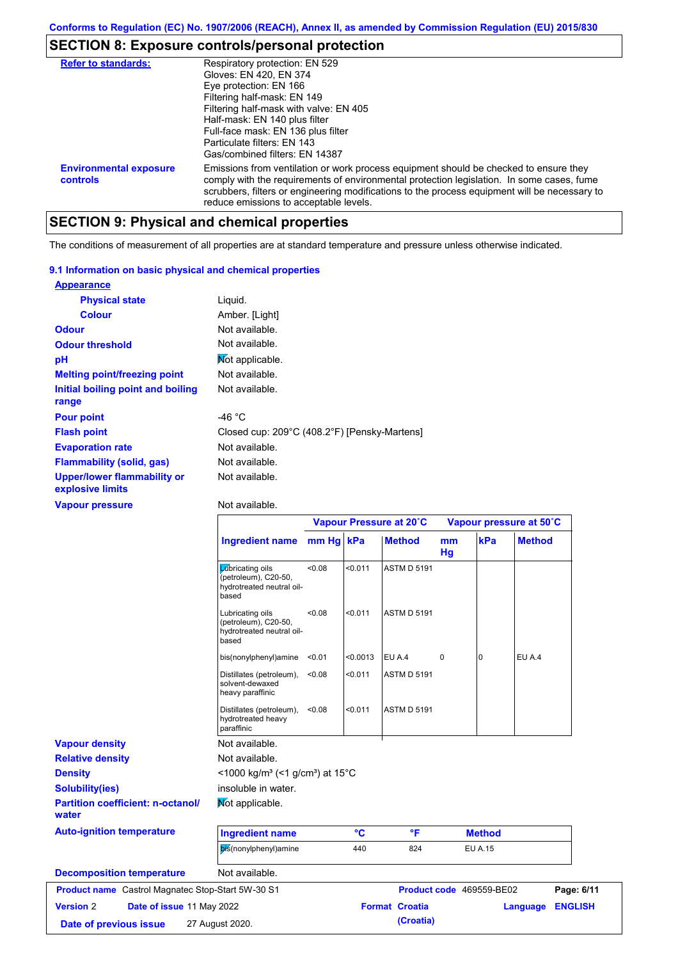# **SECTION 8: Exposure controls/personal protection**

| <b>Refer to standards:</b>                | Respiratory protection: EN 529<br>Gloves: EN 420, EN 374<br>Eye protection: EN 166<br>Filtering half-mask: EN 149<br>Filtering half-mask with valve: EN 405<br>Half-mask: EN 140 plus filter<br>Full-face mask: EN 136 plus filter<br>Particulate filters: FN 143<br>Gas/combined filters: EN 14387                           |
|-------------------------------------------|-------------------------------------------------------------------------------------------------------------------------------------------------------------------------------------------------------------------------------------------------------------------------------------------------------------------------------|
| <b>Environmental exposure</b><br>controls | Emissions from ventilation or work process equipment should be checked to ensure they<br>comply with the requirements of environmental protection legislation. In some cases, fume<br>scrubbers, filters or engineering modifications to the process equipment will be necessary to<br>reduce emissions to acceptable levels. |

# **SECTION 9: Physical and chemical properties**

The conditions of measurement of all properties are at standard temperature and pressure unless otherwise indicated.

### **9.1 Information on basic physical and chemical properties**

| <b>Appearance</b>                                      |                                              |
|--------------------------------------------------------|----------------------------------------------|
| <b>Physical state</b>                                  | Liguid.                                      |
| <b>Colour</b>                                          | Amber. [Light]                               |
| <b>Odour</b>                                           | Not available.                               |
| <b>Odour threshold</b>                                 | Not available.                               |
| рH                                                     | Mot applicable.                              |
| <b>Melting point/freezing point</b>                    | Not available.                               |
| Initial boiling point and boiling<br>range             | Not available.                               |
| <b>Pour point</b>                                      | -46 °C                                       |
| <b>Flash point</b>                                     | Closed cup: 209°C (408.2°F) [Pensky-Martens] |
| <b>Evaporation rate</b>                                | Not available.                               |
| <b>Flammability (solid, gas)</b>                       | Not available.                               |
| <b>Upper/lower flammability or</b><br>explosive limits | Not available.                               |

**Vapour pressure**

Not available.

|                                                   |                                                                                        | Vapour Pressure at 20°C |          |                       | Vapour pressure at 50°C |                          |               |                |
|---------------------------------------------------|----------------------------------------------------------------------------------------|-------------------------|----------|-----------------------|-------------------------|--------------------------|---------------|----------------|
|                                                   | <b>Ingredient name</b>                                                                 | mm Hg kPa               |          | <b>Method</b>         | mm<br>Hg                | kPa                      | <b>Method</b> |                |
|                                                   | <b>L</b> úbricating oils<br>(petroleum), C20-50,<br>hydrotreated neutral oil-<br>based | <0.08                   | < 0.011  | <b>ASTM D 5191</b>    |                         |                          |               |                |
|                                                   | Lubricating oils<br>(petroleum), C20-50,<br>hydrotreated neutral oil-<br>based         | <0.08                   | < 0.011  | <b>ASTM D 5191</b>    |                         |                          |               |                |
|                                                   | bis(nonylphenyl)amine                                                                  | < 0.01                  | < 0.0013 | EU A.4                | $\mathbf 0$             | $\Omega$                 | EU A.4        |                |
|                                                   | Distillates (petroleum),<br>solvent-dewaxed<br>heavy paraffinic                        | < 0.08                  | < 0.011  | <b>ASTM D 5191</b>    |                         |                          |               |                |
|                                                   | Distillates (petroleum),<br>hydrotreated heavy<br>paraffinic                           | < 0.08                  | < 0.011  | <b>ASTM D 5191</b>    |                         |                          |               |                |
| <b>Vapour density</b>                             | Not available.                                                                         |                         |          |                       |                         |                          |               |                |
| <b>Relative density</b>                           | Not available.                                                                         |                         |          |                       |                         |                          |               |                |
| <b>Density</b>                                    | <1000 kg/m <sup>3</sup> (<1 g/cm <sup>3</sup> ) at 15 <sup>°</sup> C                   |                         |          |                       |                         |                          |               |                |
| <b>Solubility(ies)</b>                            | insoluble in water.                                                                    |                         |          |                       |                         |                          |               |                |
| <b>Partition coefficient: n-octanol/</b><br>water | Mot applicable.                                                                        |                         |          |                       |                         |                          |               |                |
| <b>Auto-ignition temperature</b>                  | <b>Ingredient name</b>                                                                 |                         | °C       | °F                    |                         | <b>Method</b>            |               |                |
|                                                   | bis(nonylphenyl)amine                                                                  |                         | 440      | 824                   |                         | <b>EU A.15</b>           |               |                |
| <b>Decomposition temperature</b>                  | Not available.                                                                         |                         |          |                       |                         |                          |               |                |
| Product name Castrol Magnatec Stop-Start 5W-30 S1 |                                                                                        |                         |          |                       |                         | Product code 469559-BE02 |               | Page: 6/11     |
| <b>Version 2</b><br>Date of issue 11 May 2022     |                                                                                        |                         |          | <b>Format Croatia</b> |                         |                          | Language      | <b>ENGLISH</b> |
| Date of previous issue                            | 27 August 2020.                                                                        |                         |          | (Croatia)             |                         |                          |               |                |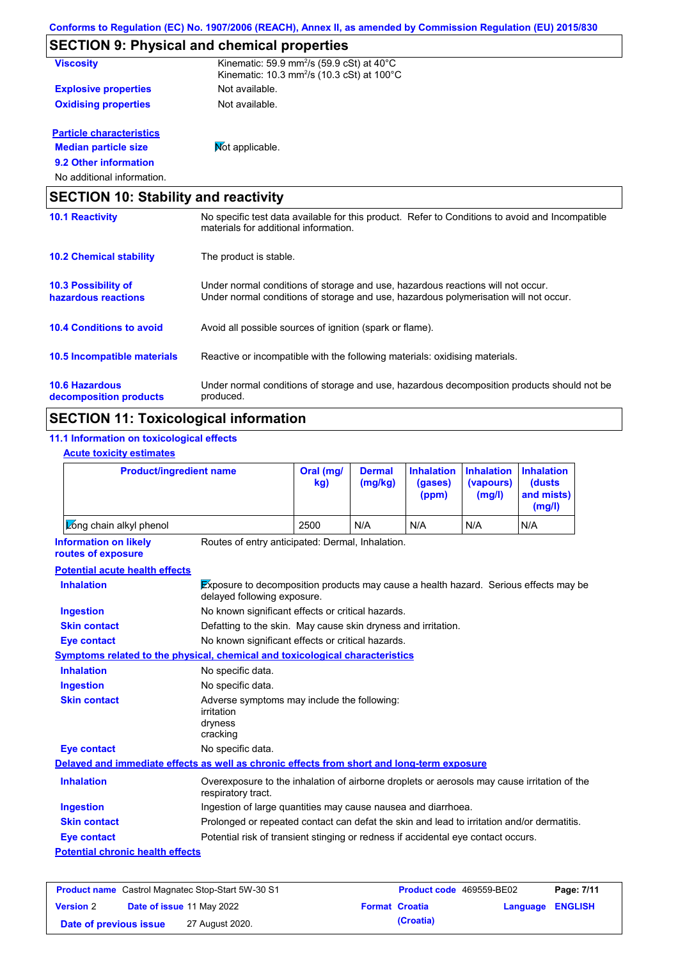|                                                   | <b>SECTION 9: Physical and chemical properties</b>                                                                                                                      |  |  |  |  |  |
|---------------------------------------------------|-------------------------------------------------------------------------------------------------------------------------------------------------------------------------|--|--|--|--|--|
| <b>Viscosity</b>                                  | Kinematic: 59.9 mm <sup>2</sup> /s (59.9 cSt) at 40°C<br>Kinematic: 10.3 mm <sup>2</sup> /s (10.3 cSt) at 100 $^{\circ}$ C                                              |  |  |  |  |  |
| <b>Explosive properties</b>                       | Not available.                                                                                                                                                          |  |  |  |  |  |
| <b>Oxidising properties</b>                       | Not available.                                                                                                                                                          |  |  |  |  |  |
| <b>Particle characteristics</b>                   |                                                                                                                                                                         |  |  |  |  |  |
| <b>Median particle size</b>                       | Mot applicable.                                                                                                                                                         |  |  |  |  |  |
| 9.2 Other information                             |                                                                                                                                                                         |  |  |  |  |  |
| No additional information.                        |                                                                                                                                                                         |  |  |  |  |  |
| <b>SECTION 10: Stability and reactivity</b>       |                                                                                                                                                                         |  |  |  |  |  |
| <b>10.1 Reactivity</b>                            | No specific test data available for this product. Refer to Conditions to avoid and Incompatible<br>materials for additional information.                                |  |  |  |  |  |
| <b>10.2 Chemical stability</b>                    | The product is stable.                                                                                                                                                  |  |  |  |  |  |
| <b>10.3 Possibility of</b><br>hazardous reactions | Under normal conditions of storage and use, hazardous reactions will not occur.<br>Under normal conditions of storage and use, hazardous polymerisation will not occur. |  |  |  |  |  |
| <b>10.4 Conditions to avoid</b>                   | Avoid all possible sources of ignition (spark or flame).                                                                                                                |  |  |  |  |  |
| 10.5 Incompatible materials                       | Reactive or incompatible with the following materials: oxidising materials.                                                                                             |  |  |  |  |  |
| <b>10.6 Hazardous</b>                             | Under normal conditions of storage and use, hazardous decomposition products should not be                                                                              |  |  |  |  |  |

# **SECTION 11: Toxicological information**

produced.

### **11.1 Information on toxicological effects**

**Acute toxicity estimates**

**decomposition products**

| <b>Product/ingredient name</b>                     |                                                                                            | Oral (mg/<br>kg)                                                                                                    | <b>Dermal</b><br>(mg/kg) | <b>Inhalation</b><br>(gases)<br>(ppm) | <b>Inhalation</b><br>(vapours)<br>(mg/l) | <b>Inhalation</b><br><b>(dusts)</b><br>and mists)<br>(mg/l) |  |
|----------------------------------------------------|--------------------------------------------------------------------------------------------|---------------------------------------------------------------------------------------------------------------------|--------------------------|---------------------------------------|------------------------------------------|-------------------------------------------------------------|--|
| Zong chain alkyl phenol                            |                                                                                            | 2500                                                                                                                | N/A                      | N/A                                   | N/A                                      | N/A                                                         |  |
| <b>Information on likely</b><br>routes of exposure | Routes of entry anticipated: Dermal, Inhalation.                                           |                                                                                                                     |                          |                                       |                                          |                                                             |  |
| <b>Potential acute health effects</b>              |                                                                                            |                                                                                                                     |                          |                                       |                                          |                                                             |  |
| <b>Inhalation</b>                                  |                                                                                            | Exposure to decomposition products may cause a health hazard. Serious effects may be<br>delayed following exposure. |                          |                                       |                                          |                                                             |  |
| <b>Ingestion</b>                                   | No known significant effects or critical hazards.                                          |                                                                                                                     |                          |                                       |                                          |                                                             |  |
| <b>Skin contact</b>                                | Defatting to the skin. May cause skin dryness and irritation.                              |                                                                                                                     |                          |                                       |                                          |                                                             |  |
| <b>Eye contact</b>                                 |                                                                                            | No known significant effects or critical hazards.                                                                   |                          |                                       |                                          |                                                             |  |
|                                                    | <b>Symptoms related to the physical, chemical and toxicological characteristics</b>        |                                                                                                                     |                          |                                       |                                          |                                                             |  |
| <b>Inhalation</b>                                  | No specific data.                                                                          |                                                                                                                     |                          |                                       |                                          |                                                             |  |
| <b>Ingestion</b>                                   | No specific data.                                                                          |                                                                                                                     |                          |                                       |                                          |                                                             |  |
| <b>Skin contact</b>                                | irritation<br>dryness<br>cracking                                                          | Adverse symptoms may include the following:                                                                         |                          |                                       |                                          |                                                             |  |
| <b>Eye contact</b>                                 | No specific data.                                                                          |                                                                                                                     |                          |                                       |                                          |                                                             |  |
|                                                    | Delayed and immediate effects as well as chronic effects from short and long-term exposure |                                                                                                                     |                          |                                       |                                          |                                                             |  |
| <b>Inhalation</b>                                  | respiratory tract.                                                                         | Overexposure to the inhalation of airborne droplets or aerosols may cause irritation of the                         |                          |                                       |                                          |                                                             |  |
| <b>Ingestion</b>                                   | Ingestion of large quantities may cause nausea and diarrhoea.                              |                                                                                                                     |                          |                                       |                                          |                                                             |  |
| <b>Skin contact</b>                                | Prolonged or repeated contact can defat the skin and lead to irritation and/or dermatitis. |                                                                                                                     |                          |                                       |                                          |                                                             |  |
| <b>Eye contact</b>                                 | Potential risk of transient stinging or redness if accidental eye contact occurs.          |                                                                                                                     |                          |                                       |                                          |                                                             |  |
|                                                    |                                                                                            |                                                                                                                     |                          |                                       |                                          |                                                             |  |

| <b>Product name</b> Castrol Magnatec Stop-Start 5W-30 S1 |  |                                  | <b>Product code</b> 469559-BE02 |                         | Page: 7/11 |
|----------------------------------------------------------|--|----------------------------------|---------------------------------|-------------------------|------------|
| <b>Version 2</b>                                         |  | <b>Date of issue 11 May 2022</b> | <b>Format Croatia</b>           | <b>Language ENGLISH</b> |            |
| Date of previous issue                                   |  | 27 August 2020.                  | (Croatia)                       |                         |            |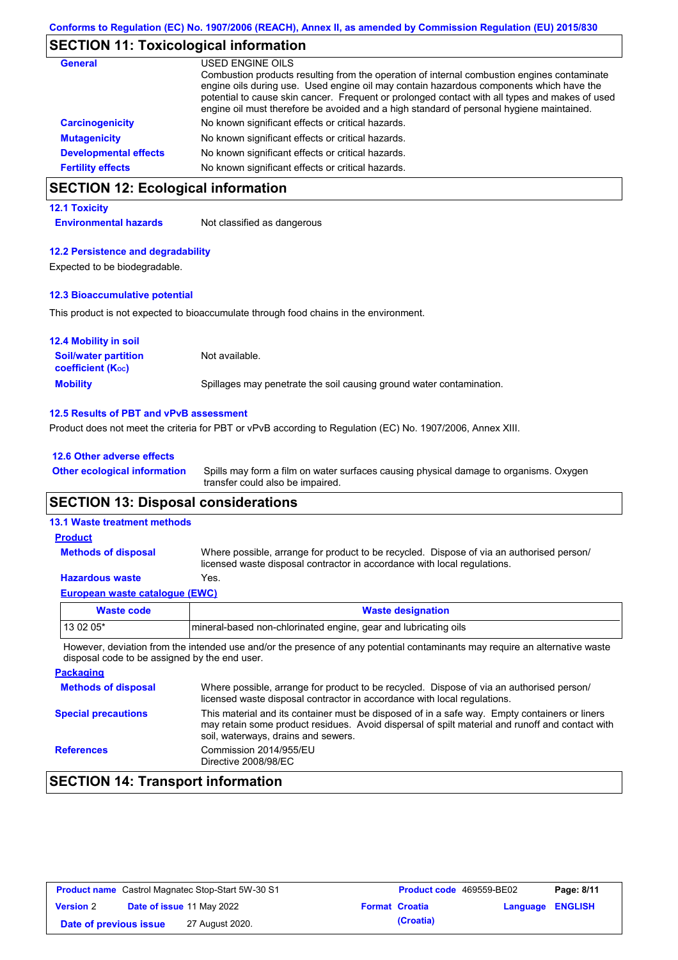### **SECTION 11: Toxicological information**

| <b>General</b>               | USED ENGINE OILS                                                                                                                                                                                                                                                                                                                                                                     |
|------------------------------|--------------------------------------------------------------------------------------------------------------------------------------------------------------------------------------------------------------------------------------------------------------------------------------------------------------------------------------------------------------------------------------|
|                              | Combustion products resulting from the operation of internal combustion engines contaminate<br>engine oils during use. Used engine oil may contain hazardous components which have the<br>potential to cause skin cancer. Frequent or prolonged contact with all types and makes of used<br>engine oil must therefore be avoided and a high standard of personal hygiene maintained. |
| <b>Carcinogenicity</b>       | No known significant effects or critical hazards.                                                                                                                                                                                                                                                                                                                                    |
| <b>Mutagenicity</b>          | No known significant effects or critical hazards.                                                                                                                                                                                                                                                                                                                                    |
| <b>Developmental effects</b> | No known significant effects or critical hazards.                                                                                                                                                                                                                                                                                                                                    |
| <b>Fertility effects</b>     | No known significant effects or critical hazards.                                                                                                                                                                                                                                                                                                                                    |

# **SECTION 12: Ecological information**

### **12.1 Toxicity**

**Environmental hazards** Not classified as dangerous

### **12.2 Persistence and degradability**

Expected to be biodegradable.

### **12.3 Bioaccumulative potential**

This product is not expected to bioaccumulate through food chains in the environment.

| <b>12.4 Mobility in soil</b>                                  |                                                                      |
|---------------------------------------------------------------|----------------------------------------------------------------------|
| <b>Soil/water partition</b><br>coefficient (K <sub>oc</sub> ) | Not available.                                                       |
| <b>Mobility</b>                                               | Spillages may penetrate the soil causing ground water contamination. |

### **12.5 Results of PBT and vPvB assessment**

Product does not meet the criteria for PBT or vPvB according to Regulation (EC) No. 1907/2006, Annex XIII.

### **12.6 Other adverse effects**

Spills may form a film on water surfaces causing physical damage to organisms. Oxygen transfer could also be impaired. **Other ecological information**

### **SECTION 13: Disposal considerations**

### **13.1 Waste treatment methods**

#### Where possible, arrange for product to be recycled. Dispose of via an authorised person/ licensed waste disposal contractor in accordance with local regulations. **Methods of disposal Product**

### **Hazardous waste** Yes.

| European waste catalogue (EWC) |                                                                 |  |  |  |
|--------------------------------|-----------------------------------------------------------------|--|--|--|
| <b>Waste code</b>              | <b>Waste designation</b>                                        |  |  |  |
| $130205*$                      | mineral-based non-chlorinated engine, gear and lubricating oils |  |  |  |

However, deviation from the intended use and/or the presence of any potential contaminants may require an alternative waste disposal code to be assigned by the end user.

| <b>Packaging</b>           |                                                                                                                                                                                                                                         |
|----------------------------|-----------------------------------------------------------------------------------------------------------------------------------------------------------------------------------------------------------------------------------------|
| <b>Methods of disposal</b> | Where possible, arrange for product to be recycled. Dispose of via an authorised person/<br>licensed waste disposal contractor in accordance with local regulations.                                                                    |
| <b>Special precautions</b> | This material and its container must be disposed of in a safe way. Empty containers or liners<br>may retain some product residues. Avoid dispersal of spilt material and runoff and contact with<br>soil, waterways, drains and sewers. |
| <b>References</b>          | Commission 2014/955/EU<br>Directive 2008/98/EC                                                                                                                                                                                          |

# **SECTION 14: Transport information**

| <b>Product name</b> Castrol Magnatec Stop-Start 5W-30 S1 |  |                                  | <b>Product code</b> 469559-BE02 | Page: 8/11            |                         |  |
|----------------------------------------------------------|--|----------------------------------|---------------------------------|-----------------------|-------------------------|--|
| <b>Version 2</b>                                         |  | <b>Date of issue 11 May 2022</b> |                                 | <b>Format Croatia</b> | <b>Language ENGLISH</b> |  |
| Date of previous issue                                   |  | 27 August 2020.                  |                                 | (Croatia)             |                         |  |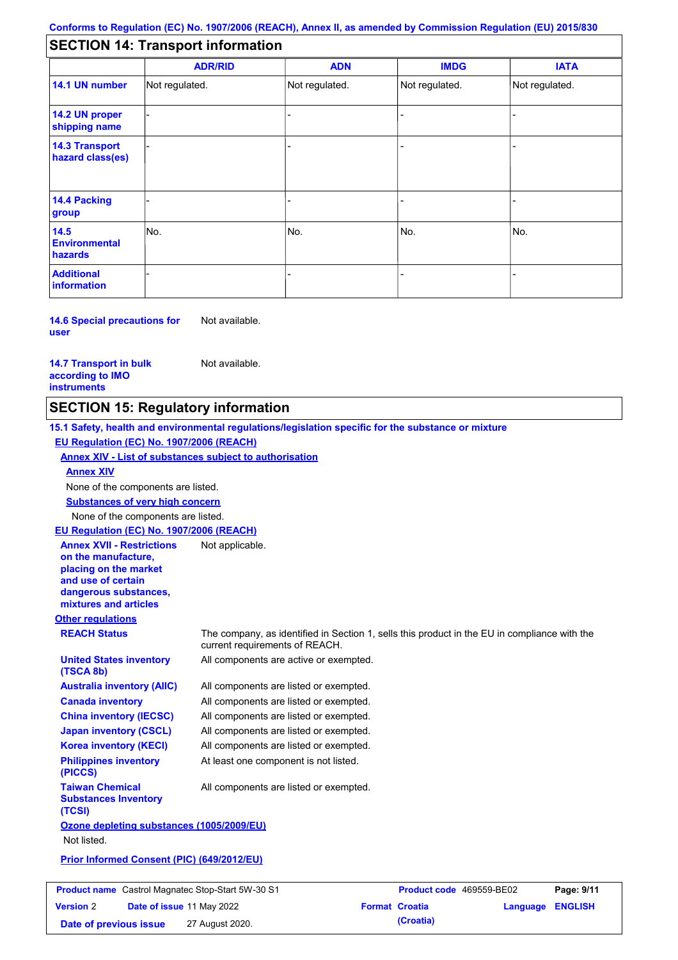# **SECTION 14: Transport information**

|                                           | <b>ADR/RID</b> | <b>ADN</b>     | <b>IMDG</b>    | <b>IATA</b>    |  |
|-------------------------------------------|----------------|----------------|----------------|----------------|--|
| 14.1 UN number                            | Not regulated. | Not regulated. | Not regulated. | Not regulated. |  |
| 14.2 UN proper<br>shipping name           |                |                |                |                |  |
| <b>14.3 Transport</b><br>hazard class(es) |                |                |                |                |  |
| 14.4 Packing<br>group                     |                |                |                |                |  |
| 14.5<br><b>Environmental</b><br>hazards   | No.            | No.            | No.            | No.            |  |
| <b>Additional</b><br>information          |                |                |                |                |  |

**14.6 Special precautions for user** Not available.

**14.7 Transport in bulk according to IMO instruments**

Not available.

### **SECTION 15: Regulatory information**

**Other regulations REACH Status** The company, as identified in Section 1, sells this product in the EU in compliance with the current requirements of REACH. **15.1 Safety, health and environmental regulations/legislation specific for the substance or mixture EU Regulation (EC) No. 1907/2006 (REACH) Annex XIV - List of substances subject to authorisation Substances of very high concern** None of the components are listed. All components are listed or exempted. All components are listed or exempted. All components are listed or exempted. All components are listed or exempted. All components are active or exempted. All components are listed or exempted. At least one component is not listed. **United States inventory (TSCA 8b) Australia inventory (AIIC) Canada inventory China inventory (IECSC) Japan inventory (CSCL) Korea inventory (KECI) Philippines inventory (PICCS) Taiwan Chemical Substances Inventory (TCSI)** All components are listed or exempted. **Ozone depleting substances (1005/2009/EU)** Not listed. **Prior Informed Consent (PIC) (649/2012/EU)** None of the components are listed. **Annex XIV EU Regulation (EC) No. 1907/2006 (REACH) Annex XVII - Restrictions on the manufacture, placing on the market and use of certain dangerous substances, mixtures and articles** Not applicable.

**Product name** Castrol Magnatec Stop-Start 5W-30 S1 **Product code** 469559-BE02 **Page: 9/11 Version** 2 **Date of issue** 11 May 2022 **Format Croatia Language ENGLISH Date of previous issue** 27 August 2020.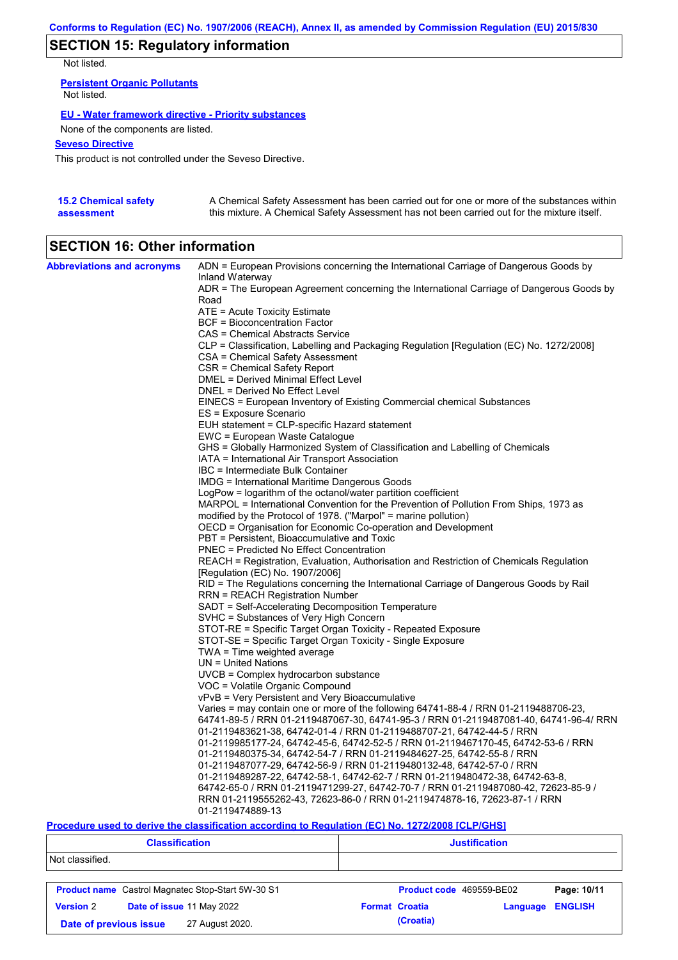# **SECTION 15: Regulatory information**

Not listed.

**Persistent Organic Pollutants** Not listed.

### **EU - Water framework directive - Priority substances**

None of the components are listed.

### **Seveso Directive**

This product is not controlled under the Seveso Directive.

| <b>15.2 Chemical safety</b> | A Chemical Safety Assessment has been carried out for one or more of the substances within  |
|-----------------------------|---------------------------------------------------------------------------------------------|
| assessment                  | this mixture. A Chemical Safety Assessment has not been carried out for the mixture itself. |

# **SECTION 16: Other information**

| <b>Abbreviations and acronyms</b> | ADN = European Provisions concerning the International Carriage of Dangerous Goods by<br>Inland Waterway                  |
|-----------------------------------|---------------------------------------------------------------------------------------------------------------------------|
|                                   | ADR = The European Agreement concerning the International Carriage of Dangerous Goods by<br>Road                          |
|                                   | ATE = Acute Toxicity Estimate                                                                                             |
|                                   | BCF = Bioconcentration Factor                                                                                             |
|                                   | CAS = Chemical Abstracts Service                                                                                          |
|                                   | CLP = Classification, Labelling and Packaging Regulation [Regulation (EC) No. 1272/2008]                                  |
|                                   | CSA = Chemical Safety Assessment                                                                                          |
|                                   | CSR = Chemical Safety Report                                                                                              |
|                                   | DMEL = Derived Minimal Effect Level                                                                                       |
|                                   | DNEL = Derived No Effect Level                                                                                            |
|                                   | EINECS = European Inventory of Existing Commercial chemical Substances                                                    |
|                                   | ES = Exposure Scenario                                                                                                    |
|                                   | EUH statement = CLP-specific Hazard statement                                                                             |
|                                   | EWC = European Waste Catalogue                                                                                            |
|                                   | GHS = Globally Harmonized System of Classification and Labelling of Chemicals                                             |
|                                   | IATA = International Air Transport Association                                                                            |
|                                   | IBC = Intermediate Bulk Container                                                                                         |
|                                   | <b>IMDG</b> = International Maritime Dangerous Goods                                                                      |
|                                   | LogPow = logarithm of the octanol/water partition coefficient                                                             |
|                                   | MARPOL = International Convention for the Prevention of Pollution From Ships, 1973 as                                     |
|                                   | modified by the Protocol of 1978. ("Marpol" = marine pollution)                                                           |
|                                   | OECD = Organisation for Economic Co-operation and Development                                                             |
|                                   | PBT = Persistent, Bioaccumulative and Toxic                                                                               |
|                                   | <b>PNEC</b> = Predicted No Effect Concentration                                                                           |
|                                   | REACH = Registration, Evaluation, Authorisation and Restriction of Chemicals Regulation                                   |
|                                   | [Regulation (EC) No. 1907/2006]<br>RID = The Regulations concerning the International Carriage of Dangerous Goods by Rail |
|                                   | RRN = REACH Registration Number                                                                                           |
|                                   | SADT = Self-Accelerating Decomposition Temperature                                                                        |
|                                   | SVHC = Substances of Very High Concern                                                                                    |
|                                   | STOT-RE = Specific Target Organ Toxicity - Repeated Exposure                                                              |
|                                   | STOT-SE = Specific Target Organ Toxicity - Single Exposure                                                                |
|                                   | $TWA = Time$ weighted average                                                                                             |
|                                   | $UN = United Nations$                                                                                                     |
|                                   | UVCB = Complex hydrocarbon substance                                                                                      |
|                                   | VOC = Volatile Organic Compound                                                                                           |
|                                   | vPvB = Very Persistent and Very Bioaccumulative                                                                           |
|                                   | Varies = may contain one or more of the following $64741-88-4$ / RRN 01-2119488706-23,                                    |
|                                   | 64741-89-5 / RRN 01-2119487067-30, 64741-95-3 / RRN 01-2119487081-40, 64741-96-4/ RRN                                     |
|                                   | 01-2119483621-38, 64742-01-4 / RRN 01-2119488707-21, 64742-44-5 / RRN                                                     |
|                                   | 01-2119985177-24, 64742-45-6, 64742-52-5 / RRN 01-2119467170-45, 64742-53-6 / RRN                                         |
|                                   | 01-2119480375-34, 64742-54-7 / RRN 01-2119484627-25, 64742-55-8 / RRN                                                     |
|                                   | 01-2119487077-29, 64742-56-9 / RRN 01-2119480132-48, 64742-57-0 / RRN                                                     |
|                                   | 01-2119489287-22, 64742-58-1, 64742-62-7 / RRN 01-2119480472-38, 64742-63-8,                                              |
|                                   | 64742-65-0 / RRN 01-2119471299-27, 64742-70-7 / RRN 01-2119487080-42, 72623-85-9 /                                        |
|                                   | RRN 01-2119555262-43, 72623-86-0 / RRN 01-2119474878-16, 72623-87-1 / RRN                                                 |
|                                   | 01-2119474889-13                                                                                                          |

### **Procedure used to derive the classification according to Regulation (EC) No. 1272/2008 [CLP/GHS]**

| <b>Classification</b>                                    | <b>Justification</b>     |          |                |  |
|----------------------------------------------------------|--------------------------|----------|----------------|--|
| Not classified.                                          |                          |          |                |  |
| <b>Product name</b> Castrol Magnatec Stop-Start 5W-30 S1 | Product code 469559-BE02 |          | Page: 10/11    |  |
| <b>Version 2</b><br>Date of issue 11 May 2022            | <b>Format Croatia</b>    | Language | <b>ENGLISH</b> |  |
| 27 August 2020.<br>Date of previous issue                | (Croatia)                |          |                |  |